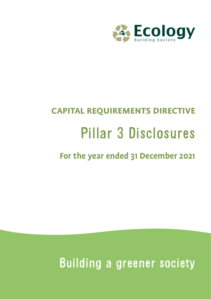

# **CAPITAL REQUIREMENTS DIRECTIVE** Pillar 3 Disclosures

**For the year ended 31 December 2021**

Building a greener society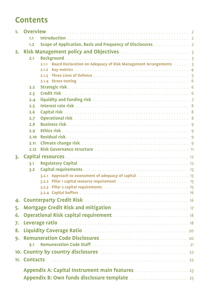# **Contents**

| 1. | <b>Overview</b>                                                          |
|----|--------------------------------------------------------------------------|
|    | 1.1                                                                      |
|    | Scope of Application, Basis and Frequency of Disclosures 2<br>$1.2$      |
| 2. |                                                                          |
|    | 2.1                                                                      |
|    | Board Declaration on Adequacy of Risk Management Arrangements 3<br>2.1.1 |
|    | 2.1.2                                                                    |
|    | 2.1.3                                                                    |
|    |                                                                          |
|    | 2.2                                                                      |
|    | 2.3                                                                      |
|    | 2.4                                                                      |
|    | 2.5                                                                      |
|    | 2.6                                                                      |
|    | 2.7                                                                      |
|    | 2.8<br>2.9                                                               |
|    | 2.10                                                                     |
|    | 2.11                                                                     |
|    | 2.12                                                                     |
|    |                                                                          |
| 3. |                                                                          |
|    | 3.1                                                                      |
|    | 3.2                                                                      |
|    |                                                                          |
|    |                                                                          |
|    |                                                                          |
| 4. |                                                                          |
| 5. |                                                                          |
| 6. |                                                                          |
|    |                                                                          |
| 7. |                                                                          |
| 8. |                                                                          |
| 9. |                                                                          |
|    | 9.1                                                                      |
|    |                                                                          |
|    | 11. Contacts (1990) 22                                                   |
|    |                                                                          |
|    |                                                                          |
|    |                                                                          |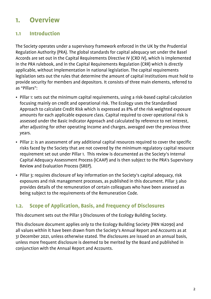# **1. Overview**

#### **1.1 Introduction**

The Society operates under a supervisory framework enforced in the UK by the Prudential Regulation Authority (PRA). The global standards for capital adequacy set under the Basel Accords are set out in the Capital Requirements Directive IV (CRD IV), which is implemented in the PRA rulebook, and in the Capital Requirements Regulation (CRR) which is directly applicable, without implementation in national legislation. The capital requirements legislation sets out the rules that determine the amount of capital institutions must hold to provide security for members and depositors. It consists of three main elements, referred to as "Pillars":

- Pillar 1: sets out the minimum capital requirements, using a risk-based capital calculation focusing mainly on credit and operational risk. The Ecology uses the Standardised Approach to calculate Credit Risk which is expressed as 8% of the risk weighted exposure amounts for each applicable exposure class. Capital required to cover operational risk is assessed under the Basic Indicator Approach and calculated by reference to net interest, after adjusting for other operating income and charges, averaged over the previous three years.
- Pillar 2: is an assessment of any additional capital resources required to cover the specific risks faced by the Society that are not covered by the minimum regulatory capital resource requirement set out under Pillar 1. This review is documented as the Society's Internal Capital Adequacy Assessment Process (ICAAP) and is then subject to the PRA's Supervisory Review and Evaluation Process (SREP).
- Pillar 3: requires disclosure of key information on the Society's capital adequacy, risk exposures and risk management processes, as published in this document. Pillar 3 also provides details of the remuneration of certain colleagues who have been assessed as being subject to the requirements of the Remuneration Code.

## **1.2. Scope of Application, Basis, and Frequency of Disclosures**

This document sets out the Pillar 3 Disclosures of the Ecology Building Society.

This disclosure document applies only to the Ecology Building Society (FRN 162090) and all values within it have been drawn from the Society's Annual Report and Accounts as at 31 December 2021, unless otherwise stated. The disclosures are issued on an annual basis, unless more frequent disclosure is deemed to be merited by the Board and published in conjunction with the Annual Report and Accounts.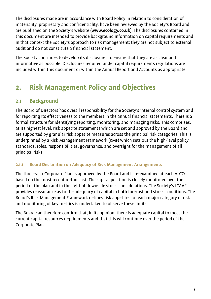The disclosures made are in accordance with Board Policy in relation to consideration of materiality, proprietary and confidentiality, have been reviewed by the Society's Board and are published on the Society's website (**www.ecology.co.uk**). The disclosures contained in this document are intended to provide background information on capital requirements and in that context the Society's approach to risk management; they are not subject to external audit and do not constitute a financial statement.

The Society continues to develop its disclosures to ensure that they are as clear and informative as possible. Disclosures required under capital requirements regulations are included within this document or within the Annual Report and Accounts as appropriate.

# **2. Risk Management Policy and Objectives**

## **2.1 Background**

The Board of Directors has overall responsibility for the Society's internal control system and for reporting its effectiveness to the members in the annual financial statements. There is a formal structure for identifying reporting, monitoring, and managing risks. This comprises, at its highest level, risk appetite statements which are set and approved by the Board and are supported by granular risk appetite measures across the principal risk categories. This is underpinned by a Risk Management Framework (RMF) which sets out the high-level policy, standards, roles, responsibilities, governance, and oversight for the management of all principal risks.

#### **2.1.1 Board Declaration on Adequacy of Risk Management Arrangements**

The three-year Corporate Plan is approved by the Board and is re-examined at each ALCO based on the most recent re-forecast. The capital position is closely monitored over the period of the plan and in the light of downside stress considerations. The Society's ICAAP provides reassurance as to the adequacy of capital in both forecast and stress conditions. The Board's Risk Management Framework defines risk appetites for each major category of risk and monitoring of key metrics is undertaken to observe these limits.

The Board can therefore confirm that, in its opinion, there is adequate capital to meet the current capital resources requirements and that this will continue over the period of the Corporate Plan.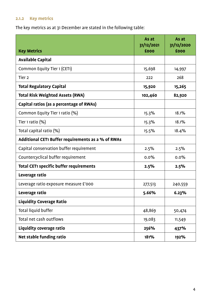## **2.1.2 Key metrics**

The key metrics as at 31 December are stated in the following table:

| <b>Key Metrics</b>                                 | As at<br>31/12/2021<br>£000 | As at<br>31/12/2020<br>£000 |
|----------------------------------------------------|-----------------------------|-----------------------------|
| <b>Available Capital</b>                           |                             |                             |
| Common Equity Tier 1 (CET1)                        | 15,698                      | 14,997                      |
| Tier <sub>2</sub>                                  | 222                         | 268                         |
| <b>Total Regulatory Capital</b>                    | 15,920                      | 15,265                      |
| <b>Total Risk Weighted Assets (RWA)</b>            | 102,460                     | 82,920                      |
| Capital ratios (as a percentage of RWAs)           |                             |                             |
| Common Equity Tier 1 ratio (%)                     | 15.3%                       | 18.1%                       |
| Tier 1 ratio $(\%)$                                | 15.3%                       | 18.1%                       |
| Total capital ratio (%)                            | 15.5%                       | 18.4%                       |
| Additional CET1 Buffer requirements as a % of RWAs |                             |                             |
| Capital conservation buffer requirement            | 2.5%                        | 2.5%                        |
| Countercyclical buffer requirement                 | 0.0%                        | 0.0%                        |
| <b>Total CET1 specific buffer requirements</b>     | 2.5%                        | 2.5%                        |
| Leverage ratio                                     |                             |                             |
| Leverage ratio exposure measure £'000              | 277,513                     | 240,559                     |
| Leverage ratio                                     | 5.66%                       | 6.23%                       |
| <b>Liquidity Coverage Ratio</b>                    |                             |                             |
| Total liquid buffer                                | 48,869                      | 50,474                      |
| Total net cash outflows                            | 19,083                      | 11,549                      |
| Liquidity coverage ratio                           | 256%                        | 437%                        |
| Net stable funding ratio                           | 181%                        | 192%                        |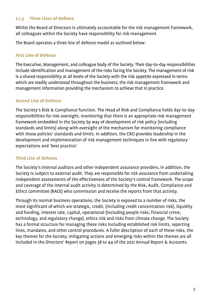#### **2.1.3 Three Lines of Defence**

Whilst the Board of Directors is ultimately accountable for the risk management framework, all colleagues within the Society have responsibility for risk management.

The Board operates a three line of defence model as outlined below:

#### **First Line of Defence**

The Executive, Management, and colleague body of the Society. Their day-to-day responsibilities include identification and management of the risks facing the Society. The management of risk is a shared responsibility at all levels of the Society with the risk appetite expressed in terms which are readily understood throughout the business; the risk management framework and management information providing the mechanism to achieve that in practice.

#### **Second Line of Defence**

The Society's Risk & Compliance function. The Head of Risk and Compliance holds day-to-day responsibilities for risk oversight, monitoring that there is an appropriate risk management framework embedded in the Society by way of development of risk policy (including standards and limits) along with oversight of the mechanism for monitoring compliance with those policies' standards and limits. In addition, the CRO provides leadership in the development and implementation of risk management techniques in line with regulatory expectations and 'best practice'.

#### **Third Line of Defence**

The Society's internal auditors and other independent assurance providers, in addition, the Society is subject to external audit. They are responsible for risk assurance from undertaking independent assessments of the effectiveness of the Society's control framework. The scope and coverage of the internal audit activity is determined by the Risk, Audit, Compliance and Ethics committee (RACE) who commission and receive the reports from that activity.

Through its normal business operations, the Society is exposed to a number of risks, the most significant of which are strategic, credit, (including credit concentration risk), liquidity and funding, interest rate, capital, operational (including people risks, financial crime, technology, and regulatory change), ethics risk and risks from climate change. The Society has a formal structure for managing these risks including established risk limits, reporting lines, mandates, and other control procedures. A fuller description of each of these risks, the key themes for the Society, mitigating actions and emerging risks within the themes are all included in the Directors' Report on pages 38 to 44 of the 2021 Annual Report & Accounts.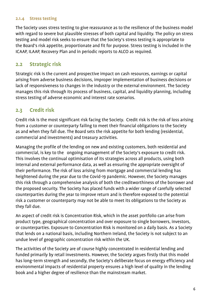#### **2.1.4 Stress testing**

The Society uses stress testing to give reassurance as to the resilience of the business model with regard to severe but plausible stresses of both capital and liquidity. The policy on stress testing and model risk seeks to ensure that the Society's stress testing is appropriate to the Board's risk appetite, proportionate and fit for purpose. Stress testing is included in the ICAAP, ILAAP, Recovery Plan and in periodic reports to ALCO as required.

### **2.2 Strategic risk**

Strategic risk is the current and prospective impact on cash resources, earnings or capital arising from adverse business decisions, improper implementation of business decisions or lack of responsiveness to changes in the industry or the external environment. The Society manages this risk through its process of business, capital, and liquidity planning, including stress testing of adverse economic and interest rate scenarios.

## **2.3 Credit risk**

Credit risk is the most significant risk facing the Society. Credit risk is the risk of loss arising from a customer or counterparty failing to meet their financial obligations to the Society as and when they fall due. The Board sets the risk appetite for both lending (residential, commercial and investments) and treasury activities.

Managing the profile of the lending on new and existing customers, both residential and commercial, is key to the ongoing management of the Society's exposure to credit risk. This involves the continual optimisation of its strategies across all products, using both internal and external performance data, as well as ensuring the appropriate oversight of their performance. The risk of loss arising from mortgage and commercial lending has heightened during the year due to the Covid-19 pandemic. However, the Society manages this risk through a comprehensive analysis of both the creditworthiness of the borrower and the proposed security. The Society has placed funds with a wider range of carefully selected counterparties during the year to improve return and is therefore exposed to the potential risk a customer or counterparty may not be able to meet its obligations to the Society as they fall due.

An aspect of credit risk is Concentration Risk, which in the asset portfolio can arise from product type, geographical concentration and over exposure to single borrowers, investors, or counterparties. Exposure to Concentration Risk is monitored on a daily basis. As a Society that lends on a national basis, including Northern Ireland, the Society is not subject to an undue level of geographic concentration risk within the UK.

The activities of the Society are of course highly concentrated in residential lending and funded primarily by retail investments. However, the Society argues firstly that this model has long-term strength and secondly, the Society's deliberate focus on energy efficiency and environmental impacts of residential property ensures a high level of quality in the lending book and a higher degree of resilience than the mainstream market.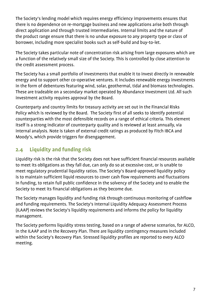The Society's lending model which requires energy efficiency improvements ensures that there is no dependence on re-mortgage business and new applications arise both through direct application and through trusted intermediaries. Internal limits and the nature of the product range ensure that there is no undue exposure to any property type or class of borrower, including more specialist books such as self-build and buy-to-let.

The Society takes particular note of concentration risk arising from large exposures which are a function of the relatively small size of the Society. This is controlled by close attention to the credit assessment process.

The Society has a small portfolio of investments that enable it to invest directly in renewable energy and to support other co-operative ventures. It includes renewable energy investments in the form of debentures featuring wind, solar, geothermal, tidal and biomass technologies. These are tradeable on a secondary market operated by Abundance Investment Ltd. All such investment activity requires approval by the Board.

Counterparty and country limits for treasury activity are set out in the Financial Risks Policy which is reviewed by the Board. The Society first of all seeks to identify potential counterparties with the most defensible records on a range of ethical criteria. This element itself is a strong indicator of counterparty quality and is reviewed at least annually, via internal analysis. Note is taken of external credit ratings as produced by Fitch IBCA and Moody's, which provide triggers for disengagement.

## **2.4 Liquidity and funding risk**

Liquidity risk is the risk that the Society does not have sufficient financial resources available to meet its obligations as they fall due, can only do so at excessive cost, or is unable to meet regulatory prudential liquidity ratios. The Society's Board-approved liquidity policy is to maintain sufficient liquid resources to cover cash flow requirements and fluctuations in funding, to retain full public confidence in the solvency of the Society and to enable the Society to meet its financial obligations as they become due.

The Society manages liquidity and funding risk through continuous monitoring of cashflow and funding requirements. The Society's Internal Liquidity Adequacy Assessment Process (ILAAP) reviews the Society's liquidity requirements and informs the policy for liquidity management.

The Society performs liquidity stress testing, based on a range of adverse scenarios, for ALCO, in the ILAAP and in the Recovery Plan. There are liquidity contingency measures included within the Society's Recovery Plan. Stressed liquidity profiles are reported to every ALCO meeting.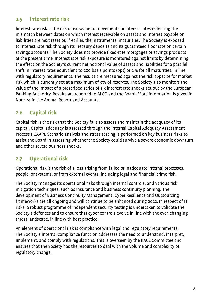#### **2.5 Interest rate risk**

Interest rate risk is the risk of exposure to movements in interest rates reflecting the mismatch between dates on which interest receivable on assets and interest payable on liabilities are next reset or, if earlier, the instruments' maturities. The Society is exposed to interest rate risk through its Treasury deposits and its guaranteed floor rate on certain savings accounts. The Society does not provide fixed-rate mortgages or savings products at the present time. Interest rate risk exposure is monitored against limits by determining the effect on the Society's current net notional value of assets and liabilities for a parallel shift in interest rates equivalent to 200 basis points (bps) or 2% for all maturities, in line with regulatory requirements. The results are measured against the risk appetite for market risk which is currently set at a maximum of 3% of reserves. The Society also monitors the value of the impact of a prescribed series of six interest rate shocks set out by the European Banking Authority. Results are reported to ALCO and the Board. More information is given in Note 24 in the Annual Report and Accounts.

#### **2.6 Capital risk**

Capital risk is the risk that the Society fails to assess and maintain the adequacy of its capital. Capital adequacy is assessed through the Internal Capital Adequacy Assessment Process (ICAAP). Scenario analysis and stress testing is performed on key business risks to assist the Board in assessing whether the Society could survive a severe economic downturn and other severe business shocks.

#### **2.7 Operational risk**

Operational risk is the risk of a loss arising from failed or inadequate internal processes, people, or systems, or from external events, including legal and financial crime risk.

The Society manages its operational risks through internal controls, and various risk mitigation techniques, such as insurance and business continuity planning. The development of Business Continuity Management, Cyber Resilience and Outsourcing frameworks are all ongoing and will continue to be enhanced during 2022. In respect of IT risks, a robust programme of independent security testing is undertaken to validate the Society's defences and to ensure that cyber controls evolve in line with the ever-changing threat landscape, in line with best practice.

An element of operational risk is compliance with legal and regulatory requirements. The Society's internal compliance function addresses the need to understand, interpret, implement, and comply with regulations. This is overseen by the RACE Committee and ensures that the Society has the resources to deal with the volume and complexity of regulatory change.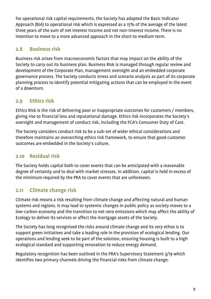For operational risk capital requirements, the Society has adopted the Basic Indicator Approach (BIA) to operational risk which is expressed as a 15% of the average of the latest three years of the sum of net interest income and net non-interest income. There is no intention to move to a more advanced approach in the short to medium term.

## **2.8 Business risk**

Business risk arises from macroeconomic factors that may impact on the ability of the Society to carry out its business plan. Business Risk is managed through regular review and development of the Corporate Plan, management oversight and an embedded corporate governance process. The Society conducts stress and scenario analysis as part of its corporate planning process to identify potential mitigating actions that can be employed in the event of a downturn.

## **2.9 Ethics risk**

Ethics Risk is the risk of delivering poor or inappropriate outcomes for customers / members, giving rise to financial loss and reputational damage. Ethics risk incorporates the Society's oversight and management of conduct risk, including the FCA's Consumer Duty of Care.

The Society considers conduct risk to be a sub-set of wider ethical considerations and therefore maintains an overarching ethics risk framework, to ensure that good customer outcomes are embedded in the Society's culture.

## **2.10 Residual risk**

The Society holds capital both to cover events that can be anticipated with a reasonable degree of certainty and to deal with market stresses. In addition, capital is held in excess of the minimum required by the PRA to cover events that are unforeseen.

## **2.11 Climate change risk**

Climate risk means a risk resulting from climate change and affecting natural and human systems and regions. It may lead to systemic changes in public policy as society moves to a low-carbon economy and the transition to net-zero emissions which may affect the ability of Ecology to deliver its services or affect the mortgage assets of the Society.

The Society has long recognised the risks around climate change and its very ethos is to support green initiatives and take a leading role in the provision of ecological lending. Our operations and lending seek to be part of the solution, ensuring housing is built to a high ecological standard and supporting renovation to reduce energy demand.

Regulatory recognition has been outlined in the PRA's Supervisory Statement 3/19 which identifies two primary channels driving the financial risks from climate change: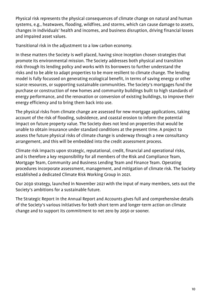Physical risk represents the physical consequences of climate change on natural and human systems, e.g., heatwaves, flooding, wildfires, and storms, which can cause damage to assets, changes in individuals' health and incomes, and business disruption, driving financial losses and impaired asset values.

Transitional risk in the adjustment to a low carbon economy.

In these matters the Society is well placed, having since inception chosen strategies that promote its environmental mission. The Society addresses both physical and transition risk through its lending policy and works with its borrowers to further understand the risks and to be able to adapt properties to be more resilient to climate change. The lending model is fully focussed on generating ecological benefit, in terms of saving energy or other scarce resources, or supporting sustainable communities. The Society's mortgages fund the purchase or construction of new homes and community buildings built to high standards of energy performance, and the renovation or conversion of existing buildings, to improve their energy efficiency and to bring them back into use.

The physical risks from climate change are assessed for new mortgage applications, taking account of the risk of flooding, subsidence, and coastal erosion to inform the potential impact on future property value. The Society does not lend on properties that would be unable to obtain insurance under standard conditions at the present time. A project to assess the future physical risks of climate change is underway through a new consultancy arrangement, and this will be embedded into the credit assessment process.

Climate risk impacts upon strategic, reputational, credit, financial and operational risks, and is therefore a key responsibility for all members of the Risk and Compliance Team, Mortgage Team, Community and Business Lending Team and Finance Team. Operating procedures incorporate assessment, management, and mitigation of climate risk. The Society established a dedicated Climate Risk Working Group in 2021.

Our 2030 strategy, launched in November 2021 with the input of many members, sets out the Society's ambitions for a sustainable future.

The Strategic Report in the Annual Report and Accounts gives full and comprehensive details of the Society's various initiatives for both short term and longer-term action on climate change and to support its commitment to net zero by 2050 or sooner.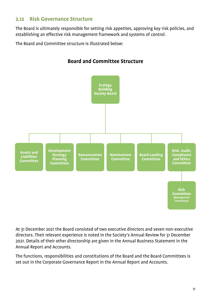#### **2.12 Risk Governance Structure**

The Board is ultimately responsible for setting risk appetites, approving key risk policies, and establishing an effective risk management framework and systems of control.

The Board and Committee structure is illustrated below:



**Board and Committee Structure**

At 31 December 2021 the Board consisted of two executive directors and seven non-executive directors. Their relevant experience is noted in the Society's Annual Review for 31 December 2021. Details of their other directorship are given in the Annual Business Statement in the Annual Report and Accounts.

The functions, responsibilities and constitutions of the Board and the Board Committees is set out in the Corporate Governance Report in the Annual Report and Accounts.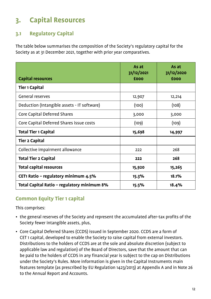# **3. Capital Resources**

## **3.1 Regulatory Capital**

The table below summarises the composition of the Society's regulatory capital for the Society as at 31 December 2021, together with prior year comparatives.

| <b>Capital resources</b>                    | As at<br>31/12/2021<br>£000 | As at<br>31/12/2020<br>£000 |
|---------------------------------------------|-----------------------------|-----------------------------|
| <b>Tier 1 Capital</b>                       |                             |                             |
| <b>General reserves</b>                     | 12,907                      | 12,214                      |
| Deduction (Intangible assets - IT software) | (100)                       | (108)                       |
| Core Capital Deferred Shares                | 3,000                       | 3,000                       |
| Core Capital Deferred Shares issue costs    | (109)                       | (109)                       |
| <b>Total Tier 1 Capital</b>                 | 15,698                      | 14,997                      |
| <b>Tier 2 Capital</b>                       |                             |                             |
| Collective impairment allowance             | 222                         | 268                         |
| <b>Total Tier 2 Capital</b>                 | 222                         | 268                         |
| <b>Total capital resources</b>              | 15,920                      | 15,265                      |
| CET1 Ratio - regulatory minimum 4.5%        | 15.3%                       | 18.1%                       |
| Total Capital Ratio - regulatory minimum 8% | 15.5%                       | 18.4%                       |

## **Common Equity Tier 1 capital**

This comprises:

- the general reserves of the Society and represent the accumulated after-tax profits of the Society fewer intangible assets, plus,
- Core Capital Deferred Shares (CCDS) issued in September 2020. CCDS are a form of CET 1 capital, developed to enable the Society to raise capital from external investors. Distributions to the holders of CCDS are at the sole and absolute discretion (subject to applicable law and regulation) of the Board of Directors, save that the amount that can be paid to the holders of CCDS in any financial year is subject to the cap on Distributions under the Society's Rules. More information is given in the Capital Instruments main features template (as prescribed by EU Regulation 1423/2013) at Appendix A and in Note 26 to the Annual Report and Accounts.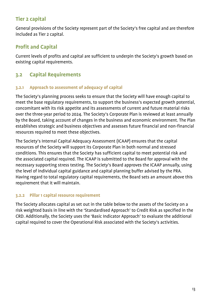## **Tier 2 capital**

General provisions of the Society represent part of the Society's free capital and are therefore included as Tier 2 capital.

## **Profit and Capital**

Current levels of profits and capital are sufficient to underpin the Society's growth based on existing capital requirements.

## **3.2 Capital Requirements**

#### **3.2.1 Approach to assessment of adequacy of capital**

The Society's planning process seeks to ensure that the Society will have enough capital to meet the base regulatory requirements, to support the business's expected growth potential, concomitant with its risk appetite and its assessments of current and future material risks over the three-year period to 2024. The Society's Corporate Plan is reviewed at least annually by the Board, taking account of changes in the business and economic environment. The Plan establishes strategic and business objectives and assesses future financial and non-financial resources required to meet these objectives.

The Society's Internal Capital Adequacy Assessment (ICAAP) ensures that the capital resources of the Society will support its Corporate Plan in both normal and stressed conditions. This ensures that the Society has sufficient capital to meet potential risk and the associated capital required. The ICAAP is submitted to the Board for approval with the necessary supporting stress testing. The Society's Board approves the ICAAP annually, using the level of individual capital guidance and capital planning buffer advised by the PRA. Having regard to total regulatory capital requirements, the Board sets an amount above this requirement that it will maintain.

#### **3.2.2 Pillar 1 capital resource requirement**

The Society allocates capital as set out in the table below to the assets of the Society on a risk weighted basis in line with the 'Standardised Approach' to Credit Risk as specified in the CRD. Additionally, the Society uses the 'Basic Indicator Approach' to evaluate the additional capital required to cover the Operational Risk associated with the Society's activities.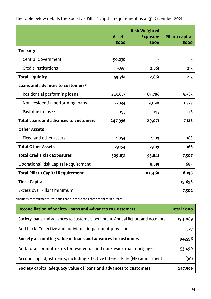|                                              | <b>Assets</b><br>£000 | <b>Risk Weighted</b><br><b>Exposure</b><br>£000 | Pillar 1 capital<br>£000 |
|----------------------------------------------|-----------------------|-------------------------------------------------|--------------------------|
| <b>Treasury</b>                              |                       |                                                 |                          |
| <b>Central Government</b>                    | 50,230                |                                                 |                          |
| <b>Credit Institutions</b>                   | 9,551                 | 2,661                                           | 213                      |
| <b>Total Liquidity</b>                       | 59,781                | 2,661                                           | 213                      |
| Loans and advances to customers*             |                       |                                                 |                          |
| Residential performing loans                 | 225,667               | 69,786                                          | 5,583                    |
| Non-residential performing loans             | 22,134                | 19,090                                          | 1,527                    |
| Past due items**                             | 195                   | 195                                             | 16                       |
| <b>Total Loans and advances to customers</b> | 247,996               | 89,071                                          | 7,126                    |
| <b>Other Assets</b>                          |                       |                                                 |                          |
| Fixed and other assets                       | 2,054                 | 2,109                                           | 168                      |
| <b>Total Other Assets</b>                    | 2,054                 | 2,109                                           | 168                      |
| <b>Total Credit Risk Exposures</b>           | 309,831               | 93,841                                          | 7,507                    |
| Operational Risk Capital Requirement         |                       | 8,619                                           | 689                      |
| <b>Total Pillar 1 Capital Requirement</b>    |                       | 102,460                                         | 8,196                    |
| <b>Tier 1 Capital</b>                        |                       |                                                 | 15,698                   |
| Excess over Pillar 1 minimum                 |                       |                                                 | 7,502                    |

The table below details the Society's Pillar 1 capital requirement as at 31 December 2021:

\*Includes commitments \*\*Loans that are more than three months in arrears.

| <b>Reconciliation of Society Loans and Advances to Customers</b>                | <b>Total £000</b> |
|---------------------------------------------------------------------------------|-------------------|
| Society loans and advances to customers per note 11, Annual Report and Accounts | 194,069           |
| Add back: Collective and Individual impairment provisions                       | 527               |
| Society accounting value of loans and advances to customers                     | 194,596           |
| Add: total commitments for residential and non-residential mortgages            | 53,490            |
| Accounting adjustments, including Effective Interest Rate (EIR) adjustment      | (90)              |
| Society capital adequacy value of loans and advances to customers               | 247,996           |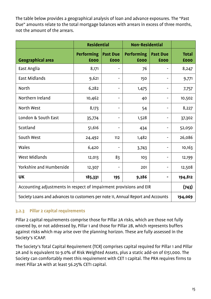The table below provides a geographical analysis of loan and advance exposures. The "Past Due" amounts relate to the total mortgage balances with arrears in excess of three months, not the amount of the arrears.

|                                                                                 | <b>Residential</b>        |                         | <b>Non-Residential</b>    |                         |                      |
|---------------------------------------------------------------------------------|---------------------------|-------------------------|---------------------------|-------------------------|----------------------|
| <b>Geographical area</b>                                                        | <b>Performing</b><br>£000 | <b>Past Due</b><br>£000 | <b>Performing</b><br>£000 | <b>Past Due</b><br>£000 | <b>Total</b><br>£000 |
| East Anglia                                                                     | 8,171                     |                         | 76                        |                         | 8,247                |
| <b>East Midlands</b>                                                            | 9,621                     |                         | 150                       |                         | 9,771                |
| <b>North</b>                                                                    | 6,282                     |                         | 1,475                     |                         | 7,757                |
| Northern Ireland                                                                | 10,462                    |                         | 40                        |                         | 10,502               |
| North West                                                                      | 8,173                     |                         | 54                        |                         | 8,227                |
| London & South East                                                             | 35,774                    |                         | 1,528                     |                         | 37,302               |
| Scotland                                                                        | 51,616                    |                         | 434                       |                         | 52,050               |
| South West                                                                      | 24,492                    | 112                     | 1,482                     |                         | 26,086               |
| Wales                                                                           | 6,420                     |                         | 3,743                     |                         | 10,163               |
| <b>West Midlands</b>                                                            | 12,013                    | 83                      | 103                       |                         | 12,199               |
| Yorkshire and Humberside                                                        | 12,307                    |                         | 201                       |                         | 12,508               |
| <b>UK</b>                                                                       | 185,331                   | 195                     | 9,286                     |                         | 194,812              |
| Accounting adjustments in respect of impairment provisions and EIR              |                           |                         | (743)                     |                         |                      |
| Society Loans and advances to customers per note 11, Annual Report and Accounts |                           |                         | 194,069                   |                         |                      |

#### **3.2.3 Pillar 2 capital requirements**

Pillar 2 capital requirements comprise those for Pillar 2A risks, which are those not fully covered by, or not addressed by, Pillar 1 and those for Pillar 2B, which represents buffers against risks which may arise over the planning horizon. These are fully assessed in the Society's ICAAP.

The Society's Total Capital Requirement (TCR) comprises capital required for Pillar 1 and Pillar 2A and is equivalent to 9.0% of Risk Weighted Assets, plus a static add-on of £151,000. The Society can comfortably meet this requirement with CET 1 capital. The PRA requires firms to meet Pillar 2A with at least 56.25% CET1 capital.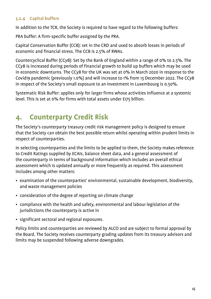#### **3.2.4 Capital buffers**

In addition to the TCR, the Society is required to have regard to the following buffers:

PRA buffer: A firm-specific buffer assigned by the PRA.

Capital Conservation Buffer (CCB): set in the CRD and used to absorb losses in periods of economic and financial stress. The CCB is 2.5% of RWAs.

Countercyclical Buffer (CCyB): Set by the Bank of England within a range of 0% to 2.5%. The CCyB is increased during periods of financial growth to build up buffers which may be used in economic downturns. The CCyB for the UK was set at 0% in March 2020 in response to the Covid19 pandemic (previously 1.0%) and will increase to 1% from 13 December 2022. The CCyB in respect of the Society's small exposure to an investment in Luxembourg is 0.50%.

Systematic Risk Buffer: applies only for larger firms whose activities influence at a systemic level. This is set at 0% for firms with total assets under £175 billion.

# **4. Counterparty Credit Risk**

The Society's counterparty treasury credit risk management policy is designed to ensure that the Society can obtain the best possible return whilst operating within prudent limits in respect of counterparties.

In selecting counterparties and the limits to be applied to them, the Society makes reference to Credit Ratings supplied by ECAIs, balance sheet data, and a general assessment of the counterparty in terms of background information which includes an overall ethical assessment which is updated annually or more frequently as required. This assessment includes among other matters:

- examination of the counterparties' environmental, sustainable development, biodiversity, and waste management policies
- consideration of the degree of reporting on climate change
- compliance with the health and safety, environmental and labour legislation of the jurisdictions the counterparty is active in
- significant sectoral and regional exposures.

Policy limits and counterparties are reviewed by ALCO and are subject to formal approval by the Board. The Society receives counterparty grading updates from its treasury advisors and limits may be suspended following adverse downgrades.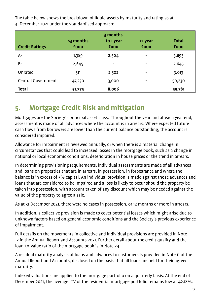The table below shows the breakdown of liquid assets by maturity and rating as at 31 December 2021 under the standardised approach:

| <b>Credit Ratings</b>     | <3 months<br>£000 | 3 months<br>to 1 year<br>£000 | >1 year<br>£000 | <b>Total</b><br>£000 |
|---------------------------|-------------------|-------------------------------|-----------------|----------------------|
| $A-$                      | 1,389             | 2,504                         |                 | 3,893                |
| $B -$                     | 2,645             | $\overline{\phantom{a}}$      |                 | 2,645                |
| Unrated                   | 511               | 2,502                         |                 | 3,013                |
| <b>Central Government</b> | 47,230            | 3,000                         |                 | 50,230               |
| <b>Total</b>              | 51,775            | 8,006                         |                 | 59,781               |

# **5. Mortgage Credit Risk and mitigation**

Mortgages are the Society's principal asset class. Throughout the year and at each year end, assessment is made of all advances where the account is in arrears. Where expected future cash flows from borrowers are lower than the current balance outstanding, the account is considered impaired.

Allowance for impairment is reviewed annually, or when there is a material change in circumstances that could lead to increased losses in the mortgage book, such as a change in national or local economic conditions, deterioration in house prices or the trend in arrears.

In determining provisioning requirements, individual assessments are made of all advances and loans on properties that are in arrears, in possession, in forbearance and where the balance is in excess of 5% capital. An individual provision is made against those advances and loans that are considered to be impaired and a loss is likely to occur should the property be taken into possession, with account taken of any discount which may be needed against the value of the property to agree a sale.

As at 31 December 2021, there were no cases in possession, or 12 months or more in arrears.

In addition, a collective provision is made to cover potential losses which might arise due to unknown factors based on general economic conditions and the Society's previous experience of impairment.

Full details on the movements in collective and individual provisions are provided in Note 12 in the Annual Report and Accounts 2021. Further detail about the credit quality and the loan-to-value ratio of the mortgage book is in Note 24.

A residual maturity analysis of loans and advances to customers is provided in Note 11 of the Annual Report and Accounts, disclosed on the basis that all loans are held for their agreed maturity.

Indexed valuations are applied to the mortgage portfolio on a quarterly basis. At the end of December 2021, the average LTV of the residential mortgage portfolio remains low at 42.18%.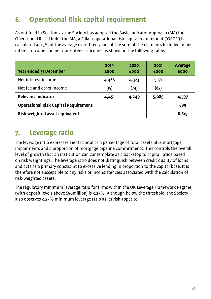# **6. Operational Risk capital requirement**

As outlined in Section 2.7 the Society has adopted the Basic Indicator Approach (BIA) for Operational Risk. Under the BIA, a Pillar 1 operational risk capital requirement ('ORCR') is calculated at 15% of the average over three years of the sum of the elements included in net interest income and net non-interest income, as shown in the following table:

| Year ended 31 December                      | 2019<br>£000 | 2020<br>£000 | 2021<br>£000 | Average<br>£000 |
|---------------------------------------------|--------------|--------------|--------------|-----------------|
| Net interest income                         | 4,466        | 4,323        | 5,171        |                 |
| Net fee and other income                    | (15)         | (74)         | (82)         |                 |
| <b>Relevant Indicator</b>                   | 4,451        | 4,249        | 5,089        | 4,597           |
| <b>Operational Risk Capital Requirement</b> |              |              |              | 689             |
| Risk weighted asset equivalent              |              |              |              | 8,619           |

# **7. Leverage ratio**

The leverage ratio expresses Tier 1 capital as a percentage of total assets plus mortgage impairments and a proportion of mortgage pipeline commitments. This controls the overall level of growth that an institution can contemplate as a backstop to capital ratios based on risk weightings. The leverage ratio does not distinguish between credit quality of loans and acts as a primary constraint to excessive lending in proportion to the capital base. It is therefore not susceptible to any risks or inconsistencies associated with the calculation of risk-weighted assets.

The regulatory minimum leverage ratio for firms within the UK Leverage Framework Regime (with deposit levels above £50million) is 3.25%. Although below the threshold, the Society also observes 3.25% minimum leverage ratio as its risk appetite.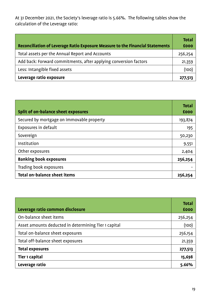At 31 December 2021, the Society's leverage ratio is 5.66%. The following tables show the calculation of the Leverage ratio:

| Reconciliation of Leverage Ratio Exposure Measure to the Financial Statements | <b>Total</b><br><b>£000</b> |
|-------------------------------------------------------------------------------|-----------------------------|
| Total assets per the Annual Report and Accounts                               | 256,254                     |
| Add back: Forward commitments, after applying conversion factors              | 21,359                      |
| Less: Intangible fixed assets                                                 | (100)                       |
| Leverage ratio exposure                                                       | 277,513                     |

| Split of on-balance sheet exposures       | <b>Total</b><br>£000 |
|-------------------------------------------|----------------------|
| Secured by mortgage on immovable property | 193,874              |
| Exposures in default                      | 195                  |
| Sovereign                                 | 50,230               |
| Institution                               | 9,551                |
| Other exposures                           | 2,404                |
| <b>Banking book exposures</b>             | 256,254              |
| Trading book exposures                    |                      |
| <b>Total on-balance sheet items</b>       | 256,254              |

| Leverage ratio common disclosure                     | <b>Total</b><br>£000 |
|------------------------------------------------------|----------------------|
| On-balance sheet items                               | 256,254              |
| Asset amounts deducted in determining Tier 1 capital | (100)                |
| Total on-balance sheet exposures                     | 256,154              |
| Total off-balance sheet exposures                    | 21,359               |
| <b>Total exposures</b>                               | 277,513              |
| Tier 1 capital                                       | 15,698               |
| Leverage ratio                                       | 5.66%                |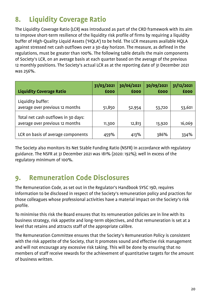# **8. Liquidity Coverage Ratio**

The Liquidity Coverage Ratio (LCR) was introduced as part of the CRD framework with its aim to improve short-term resilience of the liquidity risk profile of firms by requiring a liquidity buffer of High-Quality Liquid Assets ('HQLA') to be held. The LCR measures available HQLA against stressed net cash outflows over a 30-day horizon. The measure, as defined in the regulations, must be greater than 100%. The following table details the main components of Society's LCR, on an average basis at each quarter based on the average of the previous 12 monthly positions. The Society's actual LCR as at the reporting date of 31 December 2021 was 256%.

| <b>Liquidity Coverage Ratio</b>                                        | 31/03/2021<br>£000 | 30/06/2021<br>£000 | 30/09/2021<br>£000 | 31/12/2021<br>£000 |
|------------------------------------------------------------------------|--------------------|--------------------|--------------------|--------------------|
| Liquidity buffer:<br>average over previous 12 months                   | 51,850             | 52,954             | 53,720             | 53,601             |
| Total net cash outflows in 30 days:<br>average over previous 12 months | 11,300             | 12,813             | 13,920             | 16,069             |
| LCR on basis of average components                                     | 459%               | 413%               | 386%               | 334%               |

The Society also monitors its Net Stable Funding Ratio (NSFR) in accordance with regulatory guidance. The NSFR at 31 December 2021 was 181% (2020: 192%); well in excess of the regulatory minimum of 100%.

# **9. Remuneration Code Disclosures**

The Remuneration Code, as set out in the Regulator's Handbook SYSC 19D, requires information to be disclosed in respect of the Society's remuneration policy and practices for those colleagues whose professional activities have a material impact on the Society's risk profile.

To minimise this risk the Board ensures that its remuneration policies are in line with its business strategy, risk appetite and long-term objectives, and that remuneration is set at a level that retains and attracts staff of the appropriate calibre.

The Remuneration Committee ensures that the Society's Remuneration Policy is consistent with the risk appetite of the Society, that it promotes sound and effective risk management and will not encourage any excessive risk taking. This will be done by ensuring that no members of staff receive rewards for the achievement of quantitative targets for the amount of business written.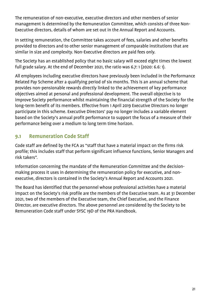The remuneration of non-executive, executive directors and other members of senior management is determined by the Remuneration Committee, which consists of three Non-Executive directors, details of whom are set out in the Annual Report and Accounts.

In setting remuneration, the Committee takes account of fees, salaries and other benefits provided to directors and to other senior management of comparable institutions that are similar in size and complexity. Non-Executive directors are paid fees only.

The Society has an established policy that no basic salary will exceed eight times the lowest full grade salary. At the end of December 2021, the ratio was 6.7: 1 (2020: 6.6: 1).

All employees including executive directors have previously been included in the Performance Related Pay Scheme after a qualifying period of six months. This is an annual scheme that provides non-pensionable rewards directly linked to the achievement of key performance objectives aimed at personal and professional development. The overall objective is to improve Society performance whilst maintaining the financial strength of the Society for the long-term benefit of its members. Effective from 1 April 2019 Executive Directors no longer participate in this scheme. Executive Directors' pay no longer includes a variable element based on the Society's annual profit performance to support the focus of a measure of their performance being over a medium to long term time horizon.

## **9.1 Remuneration Code Staff**

Code staff are defined by the FCA as "staff that have a material impact on the firms risk profile; this includes staff that perform significant influence functions, Senior Managers and risk takers".

Information concerning the mandate of the Remuneration Committee and the decisionmaking process it uses in determining the remuneration policy for executive, and nonexecutive, directors is contained in the Society's Annual Report and Accounts 2021.

The Board has identified that the personnel whose professional activities have a material impact on the Society's risk profile are the members of the Executive team. As at 31 December 2021, two of the members of the Executive team, the Chief Executive, and the Finance Director, are executive directors. The above personnel are considered by the Society to be Remuneration Code staff under SYSC 19D of the PRA Handbook.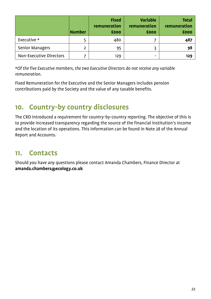|                                | <b>Number</b> | <b>Fixed</b><br>remuneration<br>£000 | <b>Variable</b><br>remuneration<br>£000 | <b>Total</b><br>remuneration<br>£000 |
|--------------------------------|---------------|--------------------------------------|-----------------------------------------|--------------------------------------|
| Executive *                    |               | 480                                  |                                         | 487                                  |
| <b>Senior Managers</b>         |               | 95                                   |                                         | 98                                   |
| <b>Non-Executive Directors</b> |               | 129                                  |                                         | 129                                  |

\**Of the five Executive members, the two Executive Directors do not receive any variable remuneration.*

Fixed Remuneration for the Executive and the Senior Managers includes pension contributions paid by the Society and the value of any taxable benefits.

# **10. Country-by country disclosures**

The CRD introduced a requirement for country-by-country reporting. The objective of this is to provide increased transparency regarding the source of the financial institution's income and the location of its operations. This information can be found in Note 28 of the Annual Report and Accounts.

# **11. Contacts**

Should you have any questions please contact Amanda Chambers, Finance Director at **amanda.chambers@ecology.co.uk**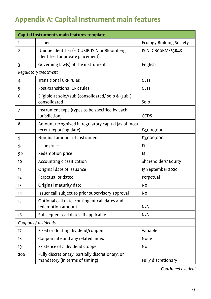# **Appendix A: Capital Instrument main features**

| Capital Instruments main features template |                                                                                     |                                 |  |  |
|--------------------------------------------|-------------------------------------------------------------------------------------|---------------------------------|--|--|
| 1                                          | Issuer                                                                              | <b>Ecology Building Society</b> |  |  |
| 2                                          | Unique identifier (e. CUSIP, ISIN or Bloomberg<br>identifier for private placement) | ISIN: GBOOBMF63R48              |  |  |
| 3                                          | Governing law(s) of the instrument                                                  | English                         |  |  |
| Regulatory treatment                       |                                                                                     |                                 |  |  |
| 4                                          | <b>Transitional CRR rules</b>                                                       | CET <sub>1</sub>                |  |  |
| 5                                          | Post-transitional CRR rules                                                         | CET <sub>1</sub>                |  |  |
| 6                                          | Eligible at solo/(sub-)consolidated/ solo & (sub-)<br>consolidated                  | Solo                            |  |  |
| 7                                          | Instrument type (types to be specified by each<br>jurisdiction)                     | <b>CCDS</b>                     |  |  |
| 8                                          | Amount recognised in regulatory capital (as of most<br>recent reporting date)       | £3,000,000                      |  |  |
| 9                                          | Nominal amount of instrument                                                        | £3,000,000                      |  |  |
| 9a                                         | Issue price                                                                         | £1                              |  |  |
| 9b                                         | Redemption price                                                                    | £1                              |  |  |
| 10                                         | Accounting classification                                                           | Shareholders' Equity            |  |  |
| 11                                         | Original date of issuance                                                           | 15 September 2020               |  |  |
| 12                                         | Perpetual or dated                                                                  | Perpetual                       |  |  |
| 13                                         | Original maturity date                                                              | <b>No</b>                       |  |  |
| 14                                         | Issuer call subject to prior supervisory approval                                   | No                              |  |  |
| 15                                         | Optional call date, contingent call dates and<br>redemption amount                  | N/A                             |  |  |
| 16                                         | Subsequent call dates, if applicable                                                | N/A                             |  |  |
| Coupons / dividends                        |                                                                                     |                                 |  |  |
| 17                                         | Fixed or floating dividend/coupon                                                   | Variable                        |  |  |
| 18                                         | Coupon rate and any related index                                                   | None                            |  |  |
| 19                                         | Existence of a dividend stopper                                                     | No                              |  |  |
| 20a                                        | Fully discretionary, partially discretionary, or<br>mandatory (in terms of timing)  | Fully discretionary             |  |  |

*Continued overleaf*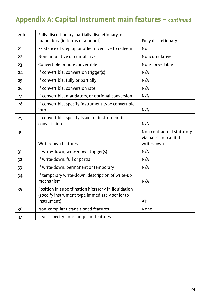# **Appendix A: Capital Instrument main features –** *continued*

| 20b | Fully discretionary, partially discretionary, or<br>mandatory (in terms of amount)                                  | Fully discretionary                                               |
|-----|---------------------------------------------------------------------------------------------------------------------|-------------------------------------------------------------------|
| 21  | Existence of step up or other incentive to redeem                                                                   | <b>No</b>                                                         |
| 22  | Noncumulative or cumulative                                                                                         | Noncumulative                                                     |
| 23  | Convertible or non-convertible                                                                                      | Non-convertible                                                   |
| 24  | If convertible, conversion trigger(s)                                                                               | N/A                                                               |
| 25  | If convertible, fully or partially                                                                                  | N/A                                                               |
| 26  | If convertible, conversion rate                                                                                     | N/A                                                               |
| 27  | If convertible, mandatory, or optional conversion                                                                   | N/A                                                               |
| 28  | If convertible, specify instrument type convertible<br>into                                                         | N/A                                                               |
| 29  | If convertible, specify issuer of instrument it<br>converts into                                                    | N/A                                                               |
| 30  | Write-down features                                                                                                 | Non contractual statutory<br>via bail-in or capital<br>write-down |
| 31  | If write-down, write-down trigger(s)                                                                                | N/A                                                               |
| 32  | If write-down, full or partial                                                                                      | N/A                                                               |
| 33  | If write-down, permanent or temporary                                                                               | N/A                                                               |
| 34  | If temporary write-down, description of write-up<br>mechanism                                                       | N/A                                                               |
| 35  | Position in subordination hierarchy in liquidation<br>(specify instrument type immediately senior to<br>instrument) | AT <sub>1</sub>                                                   |
| 36  | Non-compliant transitioned features                                                                                 | None                                                              |
| 37  | If yes, specify non-compliant features                                                                              |                                                                   |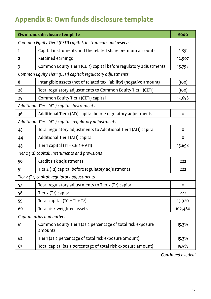# **Appendix B: Own funds disclosure template**

| Own funds disclosure template                                 |                                                                         |             |  |
|---------------------------------------------------------------|-------------------------------------------------------------------------|-------------|--|
| Common Equity Tier 1 (CET1) capital: instruments and reserves |                                                                         |             |  |
| 1                                                             | Capital instruments and the related share premium accounts              | 2,891       |  |
| 2                                                             | Retained earnings                                                       | 12,907      |  |
| 3                                                             | Common Equity Tier 1 (CET1) capital before regulatory adjustments       | 15,798      |  |
|                                                               | Common Equity Tier 1 (CET1) capital: regulatory adjustments             |             |  |
| 8                                                             | Intangible assets (net of related tax liability) (negative amount)      | (100)       |  |
| 28                                                            | Total regulatory adjustments to Common Equity Tier 1 (CET1)             | (100)       |  |
| 29                                                            | Common Equity Tier 1 (CET1) capital                                     | 15,698      |  |
|                                                               | Additional Tier 1 (ATI) capital: instruments                            |             |  |
| 36                                                            | Additional Tier 1 (AT1) capital before regulatory adjustments           | 0           |  |
| Additional Tier 1 (ATI) capital: regulatory adjustments       |                                                                         |             |  |
| 43                                                            | Total regulatory adjustments to Additional Tier 1 (AT1) capital         | $\mathbf 0$ |  |
| 44                                                            | Additional Tier 1 (AT1) capital                                         | $\mathbf 0$ |  |
| 45                                                            | Tier 1 capital $(T1 = CET1 + AT1)$                                      | 15,698      |  |
|                                                               | Tier 2 (T2) capital: instruments and provisions                         |             |  |
| 50                                                            | Credit risk adjustments                                                 | 222         |  |
| 51                                                            | Tier 2 (T2) capital before regulatory adjustments                       | 222         |  |
| Tier 2 (T2) capital: regulatory adjustments                   |                                                                         |             |  |
| 57                                                            | Total regulatory adjustments to Tier 2 (T2) capital                     | 0           |  |
| 58                                                            | Tier 2 (T2) capital                                                     | 222         |  |
| 59                                                            | Total capital $(TC = T_1 + T_2)$                                        | 15,920      |  |
| 60                                                            | Total risk weighted assets                                              | 102,460     |  |
|                                                               | Capital ratios and buffers                                              |             |  |
| 61                                                            | Common Equity Tier 1 (as a percentage of total risk exposure<br>amount) | 15.3%       |  |
| 62                                                            | Tier 1 (as a percentage of total risk exposure amount)                  | 15.3%       |  |
| 63                                                            | Total capital (as a percentage of total risk exposure amount)           | 15.5%       |  |

*Continued overleaf*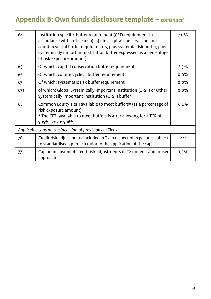# **Appendix B: Own funds disclosure template –** *continued*

| 64                                                       | Institution specific buffer requirement (CETI requirement in<br>accordance with article 92 (1) (a) plus capital conservation and<br>countercyclical buffer requirements, plus systemic risk buffer, plus<br>systemically important institution buffer expressed as a percentage<br>of risk exposure amount) | 7.0%  |  |  |
|----------------------------------------------------------|-------------------------------------------------------------------------------------------------------------------------------------------------------------------------------------------------------------------------------------------------------------------------------------------------------------|-------|--|--|
| 65                                                       | Of which: capital conservation buffer requirement                                                                                                                                                                                                                                                           | 2.5%  |  |  |
| 66                                                       | Of which: countercyclical buffer requirement                                                                                                                                                                                                                                                                | 0.0%  |  |  |
| 67                                                       | Of which: systematic risk buffer requirement                                                                                                                                                                                                                                                                | 0.0%  |  |  |
| 67a                                                      | of which: Global Systemically Important Institution (G-SII) or Other<br>Systemically Important Institution (O-SII) buffer                                                                                                                                                                                   | 0.0%  |  |  |
| 68                                                       | Common Equity Tier 1 available to meet buffers* (as a percentage of<br>risk exposure amount)<br>* The CET1 available to meet buffers is after allowing for a TCR of<br>9.15% (2020: 9.18%)                                                                                                                  | 6.2%  |  |  |
| Applicable caps on the inclusion of provisions in Tier 2 |                                                                                                                                                                                                                                                                                                             |       |  |  |
| 76                                                       | Credit risk adjustments included in T2 in respect of exposures subject<br>to standardised approach (prior to the application of the cap)                                                                                                                                                                    | 222   |  |  |
| 77                                                       | Cap on inclusion of credit risk adjustments in T2 under standardised<br>approach                                                                                                                                                                                                                            | 1,281 |  |  |